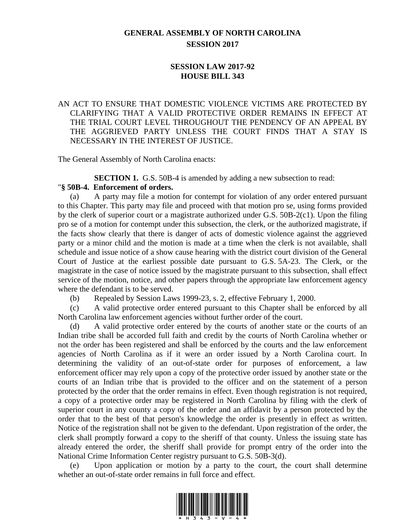## **GENERAL ASSEMBLY OF NORTH CAROLINA SESSION 2017**

## **SESSION LAW 2017-92 HOUSE BILL 343**

## AN ACT TO ENSURE THAT DOMESTIC VIOLENCE VICTIMS ARE PROTECTED BY CLARIFYING THAT A VALID PROTECTIVE ORDER REMAINS IN EFFECT AT THE TRIAL COURT LEVEL THROUGHOUT THE PENDENCY OF AN APPEAL BY THE AGGRIEVED PARTY UNLESS THE COURT FINDS THAT A STAY IS NECESSARY IN THE INTEREST OF JUSTICE.

The General Assembly of North Carolina enacts:

**SECTION 1.** G.S. 50B-4 is amended by adding a new subsection to read:

## "**§ 50B-4. Enforcement of orders.**

(a) A party may file a motion for contempt for violation of any order entered pursuant to this Chapter. This party may file and proceed with that motion pro se, using forms provided by the clerk of superior court or a magistrate authorized under G.S. 50B-2(c1). Upon the filing pro se of a motion for contempt under this subsection, the clerk, or the authorized magistrate, if the facts show clearly that there is danger of acts of domestic violence against the aggrieved party or a minor child and the motion is made at a time when the clerk is not available, shall schedule and issue notice of a show cause hearing with the district court division of the General Court of Justice at the earliest possible date pursuant to G.S. 5A-23. The Clerk, or the magistrate in the case of notice issued by the magistrate pursuant to this subsection, shall effect service of the motion, notice, and other papers through the appropriate law enforcement agency where the defendant is to be served.

(b) Repealed by Session Laws 1999-23, s. 2, effective February 1, 2000.

(c) A valid protective order entered pursuant to this Chapter shall be enforced by all North Carolina law enforcement agencies without further order of the court.

(d) A valid protective order entered by the courts of another state or the courts of an Indian tribe shall be accorded full faith and credit by the courts of North Carolina whether or not the order has been registered and shall be enforced by the courts and the law enforcement agencies of North Carolina as if it were an order issued by a North Carolina court. In determining the validity of an out-of-state order for purposes of enforcement, a law enforcement officer may rely upon a copy of the protective order issued by another state or the courts of an Indian tribe that is provided to the officer and on the statement of a person protected by the order that the order remains in effect. Even though registration is not required, a copy of a protective order may be registered in North Carolina by filing with the clerk of superior court in any county a copy of the order and an affidavit by a person protected by the order that to the best of that person's knowledge the order is presently in effect as written. Notice of the registration shall not be given to the defendant. Upon registration of the order, the clerk shall promptly forward a copy to the sheriff of that county. Unless the issuing state has already entered the order, the sheriff shall provide for prompt entry of the order into the National Crime Information Center registry pursuant to G.S. 50B-3(d).

(e) Upon application or motion by a party to the court, the court shall determine whether an out-of-state order remains in full force and effect.